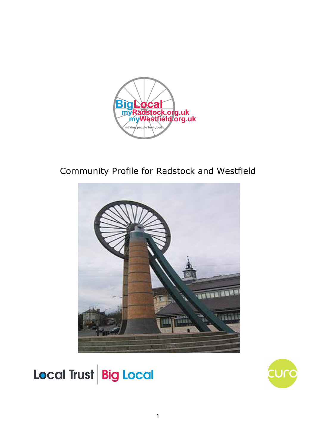

# Community Profile for Radstock and Westfield



Local Trust Big Local

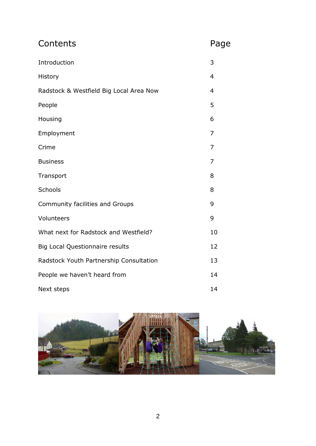| Contents                                | Page           |
|-----------------------------------------|----------------|
| Introduction                            | 3              |
| History                                 | $\overline{4}$ |
| Radstock & Westfield Big Local Area Now | $\overline{4}$ |
| People                                  | 5              |
| Housing                                 | 6              |
| Employment                              | 7              |
| Crime                                   | 7              |
| <b>Business</b>                         | 7              |
| Transport                               | 8              |
| Schools                                 | 8              |
| Community facilities and Groups         | 9              |
| Volunteers                              | 9              |
| What next for Radstock and Westfield?   | 10             |
| <b>Big Local Questionnaire results</b>  | 12             |
| Radstock Youth Partnership Consultation | 13             |
| People we haven't heard from            | 14             |
| Next steps                              | 14             |

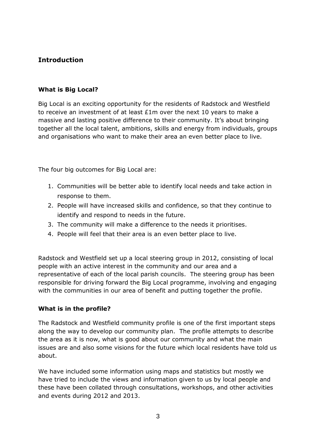# **Introduction**

## **What is Big Local?**

Big Local is an exciting opportunity for the residents of Radstock and Westfield to receive an investment of at least £1m over the next 10 years to make a massive and lasting positive difference to their community. It's about bringing together all the local talent, ambitions, skills and energy from individuals, groups and organisations who want to make their area an even better place to live.

The four big outcomes for Big Local are:

- 1. Communities will be better able to identify local needs and take action in response to them.
- 2. People will have increased skills and confidence, so that they continue to identify and respond to needs in the future.
- 3. The community will make a difference to the needs it prioritises.
- 4. People will feel that their area is an even better place to live.

Radstock and Westfield set up a local steering group in 2012, consisting of local people with an active interest in the community and our area and a representative of each of the local parish councils. The steering group has been responsible for driving forward the Big Local programme, involving and engaging with the communities in our area of benefit and putting together the profile.

## **What is in the profile?**

The Radstock and Westfield community profile is one of the first important steps along the way to develop our community plan. The profile attempts to describe the area as it is now, what is good about our community and what the main issues are and also some visions for the future which local residents have told us about.

We have included some information using maps and statistics but mostly we have tried to include the views and information given to us by local people and these have been collated through consultations, workshops, and other activities and events during 2012 and 2013.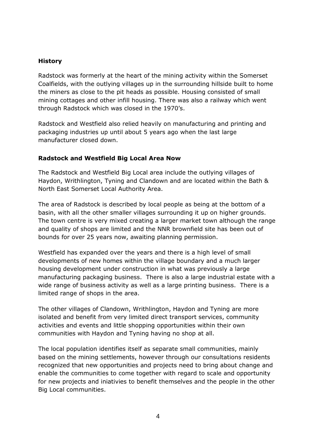#### **History**

Radstock was formerly at the heart of the mining activity within the Somerset Coalfields, with the outlying villages up in the surrounding hillside built to home the miners as close to the pit heads as possible. Housing consisted of small mining cottages and other infill housing. There was also a railway which went through Radstock which was closed in the 1970's.

Radstock and Westfield also relied heavily on manufacturing and printing and packaging industries up until about 5 years ago when the last large manufacturer closed down.

#### **Radstock and Westfield Big Local Area Now**

The Radstock and Westfield Big Local area include the outlying villages of Haydon, Writhlington, Tyning and Clandown and are located within the Bath & North East Somerset Local Authority Area.

The area of Radstock is described by local people as being at the bottom of a basin, with all the other smaller villages surrounding it up on higher grounds. The town centre is very mixed creating a larger market town although the range and quality of shops are limited and the NNR brownfield site has been out of bounds for over 25 years now, awaiting planning permission.

Westfield has expanded over the years and there is a high level of small developments of new homes within the village boundary and a much larger housing development under construction in what was previously a large manufacturing packaging business. There is also a large industrial estate with a wide range of business activity as well as a large printing business. There is a limited range of shops in the area.

The other villages of Clandown, Writhlington, Haydon and Tyning are more isolated and benefit from very limited direct transport services, community activities and events and little shopping opportunities within their own communities with Haydon and Tyning having no shop at all.

The local population identifies itself as separate small communities, mainly based on the mining settlements, however through our consultations residents recognized that new opportunities and projects need to bring about change and enable the communities to come together with regard to scale and opportunity for new projects and iniativies to benefit themselves and the people in the other Big Local communities.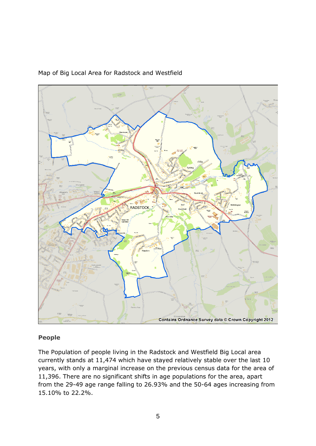

# Map of Big Local Area for Radstock and Westfield

## **People**

The Population of people living in the Radstock and Westfield Big Local area currently stands at 11,474 which have stayed relatively stable over the last 10 years, with only a marginal increase on the previous census data for the area of 11,396. There are no significant shifts in age populations for the area, apart from the 29-49 age range falling to 26.93% and the 50-64 ages increasing from 15.10% to 22.2%.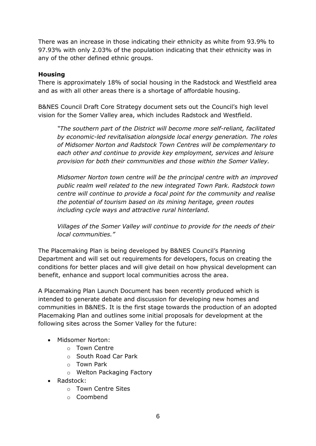There was an increase in those indicating their ethnicity as white from 93.9% to 97.93% with only 2.03% of the population indicating that their ethnicity was in any of the other defined ethnic groups.

#### **Housing**

There is approximately 18% of social housing in the Radstock and Westfield area and as with all other areas there is a shortage of affordable housing.

B&NES Council [Draft Core Strategy](http://www.bathnes.gov.uk/services/planning-and-building-control/planning-policy/core-strategy-examination) document sets out the Council's high level vision for the Somer Valley area, which includes Radstock and Westfield.

*"The southern part of the District will become more self-reliant, facilitated by economic-led revitalisation alongside local energy generation. The roles of Midsomer Norton and Radstock Town Centres will be complementary to each other and continue to provide key employment, services and leisure provision for both their communities and those within the Somer Valley.* 

*Midsomer Norton town centre will be the principal centre with an improved public realm well related to the new integrated Town Park. Radstock town centre will continue to provide a focal point for the community and realise the potential of tourism based on its mining heritage, green routes including cycle ways and attractive rural hinterland.* 

*Villages of the Somer Valley will continue to provide for the needs of their local communities."*

The Placemaking Plan is being developed by B&NES Council's Planning Department and will set out requirements for developers, focus on creating the conditions for better places and will give detail on how physical development can benefit, enhance and support local communities across the area.

A [Placemaking Plan Launch Document](http://www.bathnes.gov.uk/sites/default/files/sitedocuments/Planning-and-Building-Control/Planning-Policy/Placemaking-Plan/pmp_launch_document.pdf) has been recently produced which is intended to generate debate and discussion for developing new homes and communities in B&NES. It is the first stage towards the production of an adopted Placemaking Plan and outlines some initial proposals for development at the following sites across the Somer Valley for the future:

- Midsomer Norton:
	- o Town Centre
	- o South Road Car Park
	- o Town Park
	- o Welton Packaging Factory
- Radstock:
	- o Town Centre Sites
	- o Coombend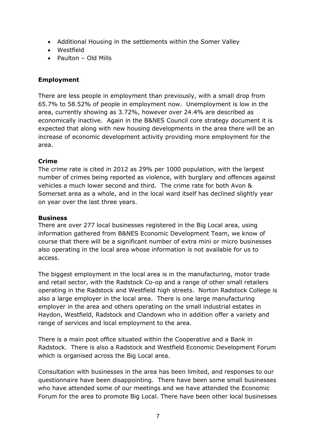- Additional Housing in the settlements within the Somer Valley
- Westfield
- Paulton Old Mills

# **Employment**

There are less people in employment than previously, with a small drop from 65.7% to 58.52% of people in employment now. Unemployment is low in the area, currently showing as 3.72%, however over 24.4% are described as economically inactive. Again in the B&NES Council core strategy document it is expected that along with new housing developments in the area there will be an increase of economic development activity providing more employment for the area.

# **Crime**

The crime rate is cited in 2012 as 29% per 1000 population, with the largest number of crimes being reported as violence, with burglary and offences against vehicles a much lower second and third. The crime rate for both Avon & Somerset area as a whole, and in the local ward itself has declined slightly year on year over the last three years.

## **Business**

There are over 277 local businesses registered in the Big Local area, using information gathered from B&NES Economic Development Team, we know of course that there will be a significant number of extra mini or micro businesses also operating in the local area whose information is not available for us to access.

The biggest employment in the local area is in the manufacturing, motor trade and retail sector, with the Radstock Co-op and a range of other small retailers operating in the Radstock and Westfield high streets. Norton Radstock College is also a large employer in the local area. There is one large manufacturing employer in the area and others operating on the small industrial estates in Haydon, Westfield, Radstock and Clandown who in addition offer a variety and range of services and local employment to the area.

There is a main post office situated within the Cooperative and a Bank in Radstock. There is also a Radstock and Westfield Economic Development Forum which is organised across the Big Local area.

Consultation with businesses in the area has been limited, and responses to our questionnaire have been disappointing. There have been some small businesses who have attended some of our meetings and we have attended the Economic Forum for the area to promote Big Local. There have been other local businesses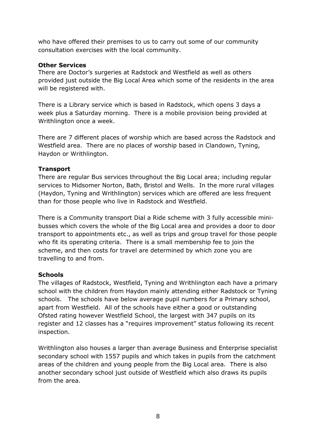who have offered their premises to us to carry out some of our community consultation exercises with the local community.

#### **Other Services**

There are Doctor's surgeries at Radstock and Westfield as well as others provided just outside the Big Local Area which some of the residents in the area will be registered with.

There is a Library service which is based in Radstock, which opens 3 days a week plus a Saturday morning. There is a mobile provision being provided at Writhlington once a week.

There are 7 different places of worship which are based across the Radstock and Westfield area. There are no places of worship based in Clandown, Tyning, Haydon or Writhlington.

## **Transport**

There are regular Bus services throughout the Big Local area; including regular services to Midsomer Norton, Bath, Bristol and Wells. In the more rural villages (Haydon, Tyning and Writhlington) services which are offered are less frequent than for those people who live in Radstock and Westfield.

There is a Community transport Dial a Ride scheme with 3 fully accessible minibusses which covers the whole of the Big Local area and provides a door to door transport to appointments etc., as well as trips and group travel for those people who fit its operating criteria. There is a small membership fee to join the scheme, and then costs for travel are determined by which zone you are travelling to and from.

## **Schools**

The villages of Radstock, Westfield, Tyning and Writhlington each have a primary school with the children from Haydon mainly attending either Radstock or Tyning schools. The schools have below average pupil numbers for a Primary school, apart from Westfield. All of the schools have either a good or outstanding Ofsted rating however Westfield School, the largest with 347 pupils on its register and 12 classes has a "requires improvement" status following its recent inspection.

Writhlington also houses a larger than average Business and Enterprise specialist secondary school with 1557 pupils and which takes in pupils from the catchment areas of the children and young people from the Big Local area. There is also another secondary school just outside of Westfield which also draws its pupils from the area.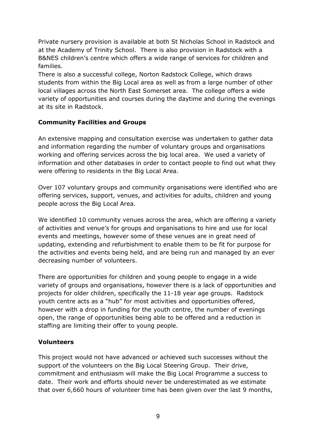Private nursery provision is available at both St Nicholas School in Radstock and at the Academy of Trinity School. There is also provision in Radstock with a B&NES children's centre which offers a wide range of services for children and families.

There is also a successful college, Norton Radstock College, which draws students from within the Big Local area as well as from a large number of other local villages across the North East Somerset area. The college offers a wide variety of opportunities and courses during the daytime and during the evenings at its site in Radstock.

## **Community Facilities and Groups**

An extensive mapping and consultation exercise was undertaken to gather data and information regarding the number of voluntary groups and organisations working and offering services across the big local area. We used a variety of information and other databases in order to contact people to find out what they were offering to residents in the Big Local Area.

Over 107 voluntary groups and community organisations were identified who are offering services, support, venues, and activities for adults, children and young people across the Big Local Area.

We identified 10 community venues across the area, which are offering a variety of activities and venue's for groups and organisations to hire and use for local events and meetings, however some of these venues are in great need of updating, extending and refurbishment to enable them to be fit for purpose for the activities and events being held, and are being run and managed by an ever decreasing number of volunteers.

There are opportunities for children and young people to engage in a wide variety of groups and organisations, however there is a lack of opportunities and projects for older children, specifically the 11-18 year age groups. Radstock youth centre acts as a "hub" for most activities and opportunities offered, however with a drop in funding for the youth centre, the number of evenings open, the range of opportunities being able to be offered and a reduction in staffing are limiting their offer to young people.

#### **Volunteers**

This project would not have advanced or achieved such successes without the support of the volunteers on the Big Local Steering Group. Their drive, commitment and enthusiasm will make the Big Local Programme a success to date. Their work and efforts should never be underestimated as we estimate that over 6,660 hours of volunteer time has been given over the last 9 months,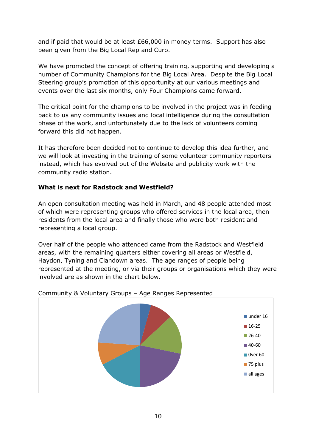and if paid that would be at least £66,000 in money terms. Support has also been given from the Big Local Rep and Curo.

We have promoted the concept of offering training, supporting and developing a number of Community Champions for the Big Local Area. Despite the Big Local Steering group's promotion of this opportunity at our various meetings and events over the last six months, only Four Champions came forward.

The critical point for the champions to be involved in the project was in feeding back to us any community issues and local intelligence during the consultation phase of the work, and unfortunately due to the lack of volunteers coming forward this did not happen.

It has therefore been decided not to continue to develop this idea further, and we will look at investing in the training of some volunteer community reporters instead, which has evolved out of the Website and publicity work with the community radio station.

# **What is next for Radstock and Westfield?**

An open consultation meeting was held in March, and 48 people attended most of which were representing groups who offered services in the local area, then residents from the local area and finally those who were both resident and representing a local group.

Over half of the people who attended came from the Radstock and Westfield areas, with the remaining quarters either covering all areas or Westfield, Haydon, Tyning and Clandown areas. The age ranges of people being represented at the meeting, or via their groups or organisations which they were involved are as shown in the chart below.



## Community & Voluntary Groups – Age Ranges Represented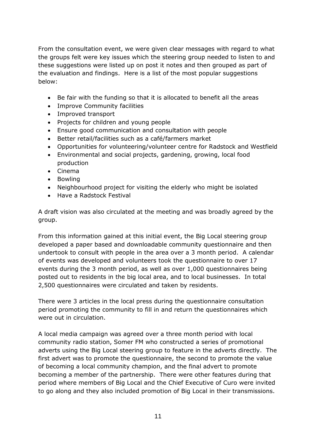From the consultation event, we were given clear messages with regard to what the groups felt were key issues which the steering group needed to listen to and these suggestions were listed up on post it notes and then grouped as part of the evaluation and findings. Here is a list of the most popular suggestions below:

- Be fair with the funding so that it is allocated to benefit all the areas
- Improve Community facilities
- Improved transport
- Projects for children and young people
- Ensure good communication and consultation with people
- Better retail/facilities such as a café/farmers market
- Opportunities for volunteering/volunteer centre for Radstock and Westfield
- Environmental and social projects, gardening, growing, local food production
- Cinema
- Bowling
- Neighbourhood project for visiting the elderly who might be isolated
- Have a Radstock Festival

A draft vision was also circulated at the meeting and was broadly agreed by the group.

From this information gained at this initial event, the Big Local steering group developed a paper based and downloadable community questionnaire and then undertook to consult with people in the area over a 3 month period. A calendar of events was developed and volunteers took the questionnaire to over 17 events during the 3 month period, as well as over 1,000 questionnaires being posted out to residents in the big local area, and to local businesses. In total 2,500 questionnaires were circulated and taken by residents.

There were 3 articles in the local press during the questionnaire consultation period promoting the community to fill in and return the questionnaires which were out in circulation.

A local media campaign was agreed over a three month period with local community radio station, Somer FM who constructed a series of promotional adverts using the Big Local steering group to feature in the adverts directly. The first advert was to promote the questionnaire, the second to promote the value of becoming a local community champion, and the final advert to promote becoming a member of the partnership. There were other features during that period where members of Big Local and the Chief Executive of Curo were invited to go along and they also included promotion of Big Local in their transmissions.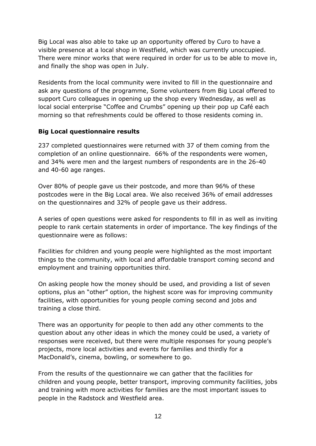Big Local was also able to take up an opportunity offered by Curo to have a visible presence at a local shop in Westfield, which was currently unoccupied. There were minor works that were required in order for us to be able to move in, and finally the shop was open in July.

Residents from the local community were invited to fill in the questionnaire and ask any questions of the programme, Some volunteers from Big Local offered to support Curo colleagues in opening up the shop every Wednesday, as well as local social enterprise "Coffee and Crumbs" opening up their pop up Café each morning so that refreshments could be offered to those residents coming in.

## **Big Local questionnaire results**

237 completed questionnaires were returned with 37 of them coming from the completion of an online questionnaire. 66% of the respondents were women, and 34% were men and the largest numbers of respondents are in the 26-40 and 40-60 age ranges.

Over 80% of people gave us their postcode, and more than 96% of these postcodes were in the Big Local area. We also received 36% of email addresses on the questionnaires and 32% of people gave us their address.

A series of open questions were asked for respondents to fill in as well as inviting people to rank certain statements in order of importance. The key findings of the questionnaire were as follows:

Facilities for children and young people were highlighted as the most important things to the community, with local and affordable transport coming second and employment and training opportunities third.

On asking people how the money should be used, and providing a list of seven options, plus an "other" option, the highest score was for improving community facilities, with opportunities for young people coming second and jobs and training a close third.

There was an opportunity for people to then add any other comments to the question about any other ideas in which the money could be used, a variety of responses were received, but there were multiple responses for young people's projects, more local activities and events for families and thirdly for a MacDonald's, cinema, bowling, or somewhere to go.

From the results of the questionnaire we can gather that the facilities for children and young people, better transport, improving community facilities, jobs and training with more activities for families are the most important issues to people in the Radstock and Westfield area.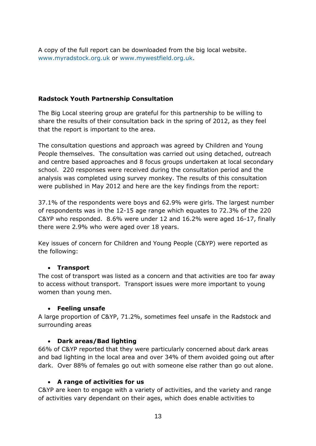A copy of the full report can be downloaded from the big local website. [www.myradstock.org.uk](http://www.myradstock.org.uk/) or [www.mywestfield.org.uk.](http://www.mywestfield.org.uk/)

# **Radstock Youth Partnership Consultation**

The Big Local steering group are grateful for this partnership to be willing to share the results of their consultation back in the spring of 2012, as they feel that the report is important to the area.

The consultation questions and approach was agreed by Children and Young People themselves. The consultation was carried out using detached, outreach and centre based approaches and 8 focus groups undertaken at local secondary school. 220 responses were received during the consultation period and the analysis was completed using survey monkey. The results of this consultation were published in May 2012 and here are the key findings from the report:

37.1% of the respondents were boys and 62.9% were girls. The largest number of respondents was in the 12-15 age range which equates to 72.3% of the 220 C&YP who responded. 8.6% were under 12 and 16.2% were aged 16-17, finally there were 2.9% who were aged over 18 years.

Key issues of concern for Children and Young People (C&YP) were reported as the following:

## **Transport**

The cost of transport was listed as a concern and that activities are too far away to access without transport. Transport issues were more important to young women than young men.

#### **Feeling unsafe**

A large proportion of C&YP, 71.2%, sometimes feel unsafe in the Radstock and surrounding areas

## **Dark areas/Bad lighting**

66% of C&YP reported that they were particularly concerned about dark areas and bad lighting in the local area and over 34% of them avoided going out after dark. Over 88% of females go out with someone else rather than go out alone.

#### **A range of activities for us**

C&YP are keen to engage with a variety of activities, and the variety and range of activities vary dependant on their ages, which does enable activities to